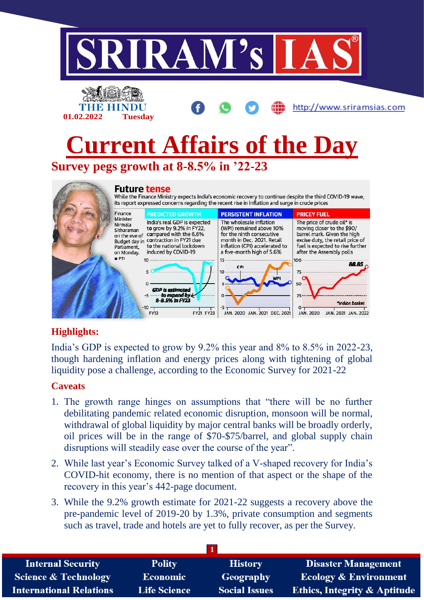

### **Highlights:**

India's GDP is expected to grow by 9.2% this year and 8% to 8.5% in 2022-23, though hardening inflation and energy prices along with tightening of global liquidity pose a challenge, according to the Economic Survey for 2021-22

### **Caveats**

- 1. The growth range hinges on assumptions that "there will be no further debilitating pandemic related economic disruption, monsoon will be normal, withdrawal of global liquidity by major central banks will be broadly orderly, oil prices will be in the range of \$70-\$75/barrel, and global supply chain disruptions will steadily ease over the course of the year".
- 2. While last year's Economic Survey talked of a V-shaped recovery for India's COVID-hit economy, there is no mention of that aspect or the shape of the recovery in this year's 442-page document.
- 3. While the 9.2% growth estimate for 2021-22 suggests a recovery above the pre-pandemic level of 2019-20 by 1.3%, private consumption and segments such as travel, trade and hotels are yet to fully recover, as per the Survey.

| <b>Internal Security</b>        | <b>Polity</b>       | <b>History</b>       | <b>Disaster Management</b>              |
|---------------------------------|---------------------|----------------------|-----------------------------------------|
| <b>Science &amp; Technology</b> | <b>Economic</b>     | Geography            | <b>Ecology &amp; Environment</b>        |
| <b>International Relations</b>  | <b>Life Science</b> | <b>Social Issues</b> | <b>Ethics, Integrity &amp; Aptitude</b> |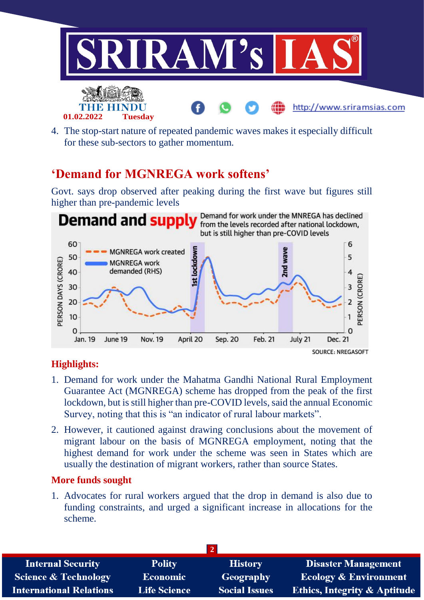

4. The stop-start nature of repeated pandemic waves makes it especially difficult for these sub-sectors to gather momentum.

## **'Demand for MGNREGA work softens'**

Govt. says drop observed after peaking during the first wave but figures still higher than pre-pandemic levels



### **Highlights:**

- 1. Demand for work under the Mahatma Gandhi National Rural Employment Guarantee Act (MGNREGA) scheme has dropped from the peak of the first lockdown, but is still higher than pre-COVID levels, said the annual Economic Survey, noting that this is "an indicator of rural labour markets".
- 2. However, it cautioned against drawing conclusions about the movement of migrant labour on the basis of MGNREGA employment, noting that the highest demand for work under the scheme was seen in States which are usually the destination of migrant workers, rather than source States.

#### **More funds sought**

1. Advocates for rural workers argued that the drop in demand is also due to funding constraints, and urged a significant increase in allocations for the scheme.

| <b>Internal Security</b>        | <b>Polity</b>       | <b>History</b>       | <b>Disaster Management</b>              |
|---------------------------------|---------------------|----------------------|-----------------------------------------|
| <b>Science &amp; Technology</b> | Economic            | Geography            | <b>Ecology &amp; Environment</b>        |
| <b>International Relations</b>  | <b>Life Science</b> | <b>Social Issues</b> | <b>Ethics, Integrity &amp; Aptitude</b> |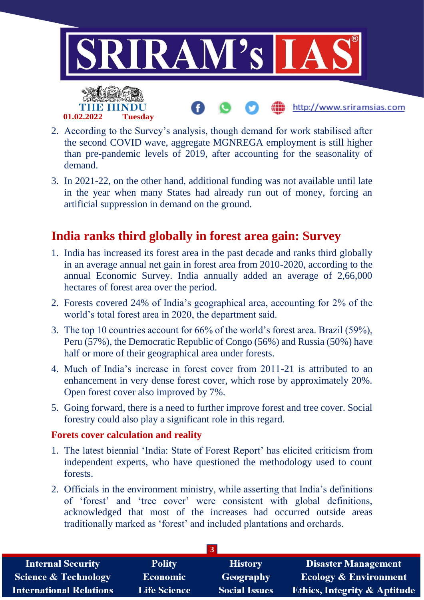

- 2. According to the Survey's analysis, though demand for work stabilised after the second COVID wave, aggregate MGNREGA employment is still higher than pre-pandemic levels of 2019, after accounting for the seasonality of demand.
- 3. In 2021-22, on the other hand, additional funding was not available until late in the year when many States had already run out of money, forcing an artificial suppression in demand on the ground.

### **India ranks third globally in forest area gain: Survey**

- 1. India has increased its forest area in the past decade and ranks third globally in an average annual net gain in forest area from 2010-2020, according to the annual Economic Survey. India annually added an average of 2,66,000 hectares of forest area over the period.
- 2. Forests covered 24% of India's geographical area, accounting for 2% of the world's total forest area in 2020, the department said.
- 3. The top 10 countries account for 66% of the world's forest area. Brazil (59%), Peru (57%), the Democratic Republic of Congo (56%) and Russia (50%) have half or more of their geographical area under forests.
- 4. Much of India's increase in forest cover from 2011-21 is attributed to an enhancement in very dense forest cover, which rose by approximately 20%. Open forest cover also improved by 7%.
- 5. Going forward, there is a need to further improve forest and tree cover. Social forestry could also play a significant role in this regard.

#### **Forets cover calculation and reality**

- 1. The latest biennial 'India: State of Forest Report' has elicited criticism from independent experts, who have questioned the methodology used to count forests.
- 2. Officials in the environment ministry, while asserting that India's definitions of 'forest' and 'tree cover' were consistent with global definitions, acknowledged that most of the increases had occurred outside areas traditionally marked as 'forest' and included plantations and orchards.

| <b>Internal Security</b>        | <b>Polity</b>       | <b>History</b>       | <b>Disaster Management</b>              |
|---------------------------------|---------------------|----------------------|-----------------------------------------|
| <b>Science &amp; Technology</b> | <b>Economic</b>     | Geography            | <b>Ecology &amp; Environment</b>        |
| <b>International Relations</b>  | <b>Life Science</b> | <b>Social Issues</b> | <b>Ethics, Integrity &amp; Aptitude</b> |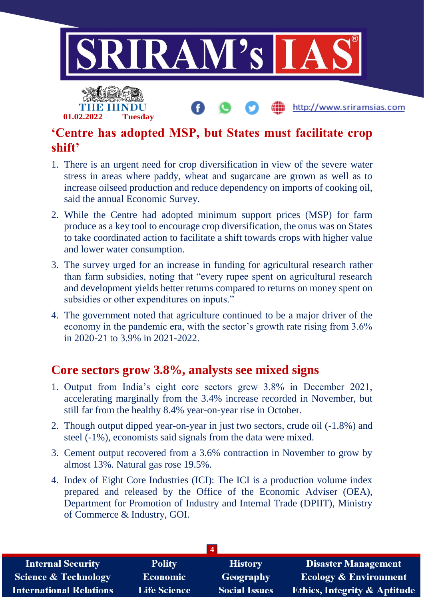

## **'Centre has adopted MSP, but States must facilitate crop shift'**

- 1. There is an urgent need for crop diversification in view of the severe water stress in areas where paddy, wheat and sugarcane are grown as well as to increase oilseed production and reduce dependency on imports of cooking oil, said the annual Economic Survey.
- 2. While the Centre had adopted minimum support prices (MSP) for farm produce as a key tool to encourage crop diversification, the onus was on States to take coordinated action to facilitate a shift towards crops with higher value and lower water consumption.
- 3. The survey urged for an increase in funding for agricultural research rather than farm subsidies, noting that "every rupee spent on agricultural research and development yields better returns compared to returns on money spent on subsidies or other expenditures on inputs."
- 4. The government noted that agriculture continued to be a major driver of the economy in the pandemic era, with the sector's growth rate rising from 3.6% in 2020-21 to 3.9% in 2021-2022.

### **Core sectors grow 3.8%, analysts see mixed signs**

- 1. Output from India's eight core sectors grew 3.8% in December 2021, accelerating marginally from the 3.4% increase recorded in November, but still far from the healthy 8.4% year-on-year rise in October.
- 2. Though output dipped year-on-year in just two sectors, crude oil (-1.8%) and steel (-1%), economists said signals from the data were mixed.
- 3. Cement output recovered from a 3.6% contraction in November to grow by almost 13%. Natural gas rose 19.5%.
- 4. Index of Eight Core Industries (ICI): The ICI is a production volume index prepared and released by the Office of the Economic Adviser (OEA), Department for Promotion of Industry and Internal Trade (DPIIT), Ministry of Commerce & Industry, GOI.

| <b>Internal Security</b>        | <b>Polity</b>       | <b>History</b>       | <b>Disaster Management</b>              |
|---------------------------------|---------------------|----------------------|-----------------------------------------|
| <b>Science &amp; Technology</b> | <b>Economic</b>     | <b>Geography</b>     | <b>Ecology &amp; Environment</b>        |
| <b>International Relations</b>  | <b>Life Science</b> | <b>Social Issues</b> | <b>Ethics, Integrity &amp; Aptitude</b> |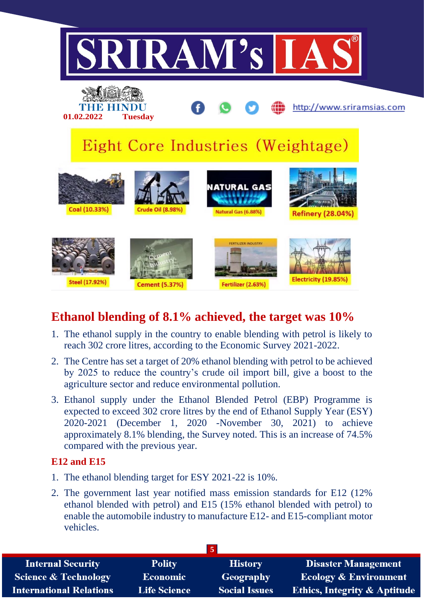

# **Ethanol blending of 8.1% achieved, the target was 10%**

- 1. The ethanol supply in the country to enable blending with petrol is likely to reach 302 crore litres, according to the Economic Survey 2021-2022.
- 2. The Centre has set a target of 20% ethanol blending with petrol to be achieved by 2025 to reduce the country's crude oil import bill, give a boost to the agriculture sector and reduce environmental pollution.
- 3. Ethanol supply under the Ethanol Blended Petrol (EBP) Programme is expected to exceed 302 crore litres by the end of Ethanol Supply Year (ESY) 2020-2021 (December 1, 2020 -November 30, 2021) to achieve approximately 8.1% blending, the Survey noted. This is an increase of 74.5% compared with the previous year.

#### **E12 and E15**

- 1. The ethanol blending target for ESY 2021-22 is 10%.
- 2. The government last year notified mass emission standards for E12 (12% ethanol blended with petrol) and E15 (15% ethanol blended with petrol) to enable the automobile industry to manufacture E12- and E15-compliant motor vehicles.

| <b>Internal Security</b>        | <b>Polity</b>       | <b>History</b>       | <b>Disaster Management</b>              |
|---------------------------------|---------------------|----------------------|-----------------------------------------|
| <b>Science &amp; Technology</b> | <b>Economic</b>     | Geography            | <b>Ecology &amp; Environment</b>        |
| <b>International Relations</b>  | <b>Life Science</b> | <b>Social Issues</b> | <b>Ethics, Integrity &amp; Aptitude</b> |